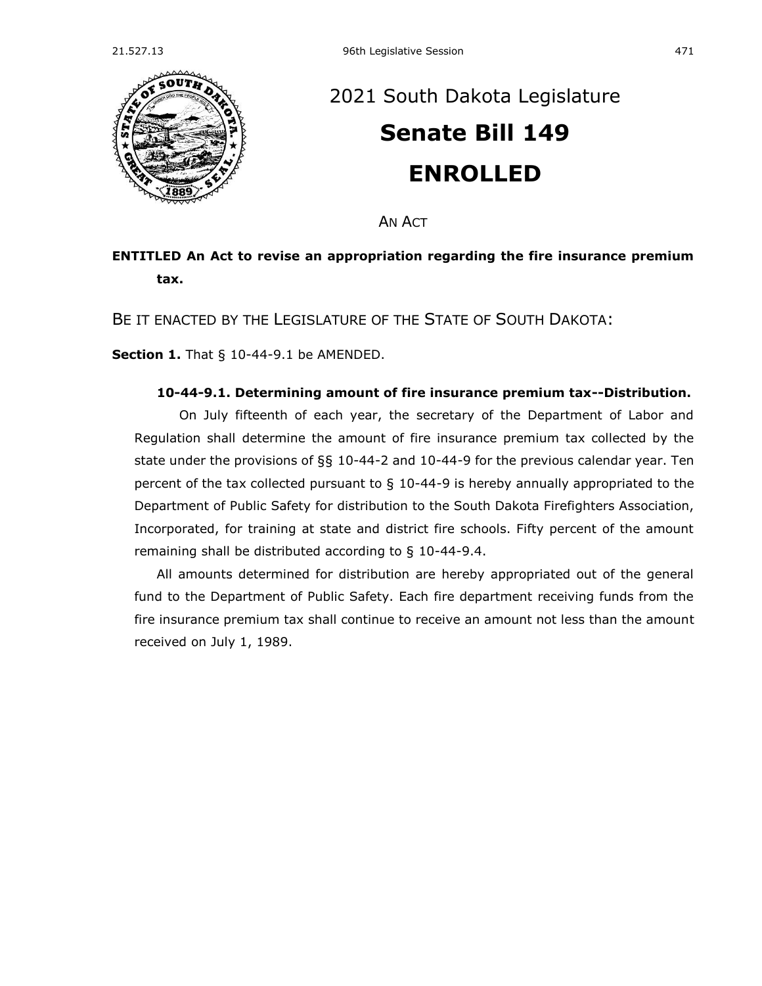

## [2021 South Dakota Legislature](https://sdlegislature.gov/Session/Bills/44) **[Senate Bill 149](https://sdlegislature.gov/Session/Bill/22247) ENROLLED**

AN ACT

## **ENTITLED An Act to revise an appropriation regarding the fire insurance premium tax.**

BE IT ENACTED BY THE LEGISLATURE OF THE STATE OF SOUTH DAKOTA:

**Section 1.** [That § 10-44-9.1 be AMENDED.](https://sdlegislature.gov/Statutes/Codified_Laws/2038651)

## **[10-44-9.1. D](https://sdlegislature.gov/Statutes/Codified_Laws/DisplayStatute.aspx?Type=Statute&Statute=10-44-9.1)etermining amount of fire insurance premium tax--Distribution.**

On July fifteenth of each year, the secretary of the Department of Labor and Regulation shall determine the amount of fire insurance premium tax collected by the state under the provisions of §§ [10-44-2](https://sdlegislature.gov/Statutes/Codified_Laws/DisplayStatute.aspx?Type=Statute&Statute=10-44-2) and [10-44-9](https://sdlegislature.gov/Statutes/Codified_Laws/DisplayStatute.aspx?Type=Statute&Statute=10-44-9) for the previous calendar year. Ten percent of the tax collected pursuant to § 10-44-9 is hereby annually appropriated to the Department of Public Safety for distribution to the South Dakota Firefighters Association, Incorporated, for training at state and district fire schools. Fifty percent of the amount remaining shall be distributed according to § [10-44-9.4.](https://sdlegislature.gov/Statutes/Codified_Laws/DisplayStatute.aspx?Type=Statute&Statute=10-44-9.4)

All amounts determined for distribution are hereby appropriated out of the general fund to the Department of Public Safety. Each fire department receiving funds from the fire insurance premium tax shall continue to receive an amount not less than the amount received on July 1, 1989.